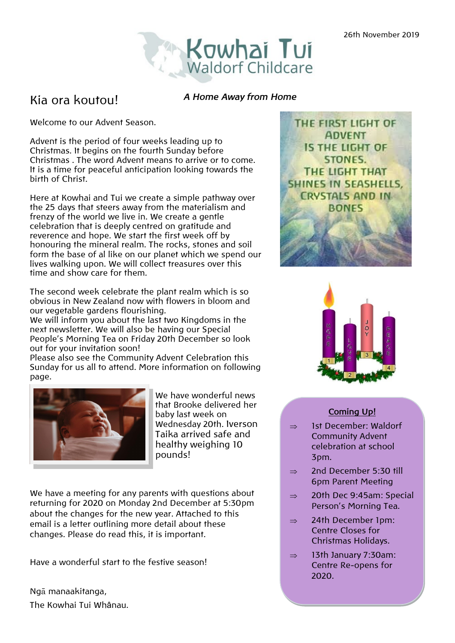

## Kia ora koutou!

#### *A Home Away from Home*

Welcome to our Advent Season.

Advent is the period of four weeks leading up to Christmas. It begins on the fourth Sunday before Christmas . The word Advent means to arrive or to come. It is a time for peaceful anticipation looking towards the birth of Christ.

Here at Kowhai and Tui we create a simple pathway over the 25 days that steers away from the materialism and frenzy of the world we live in. We create a gentle celebration that is deeply centred on gratitude and reverence and hope. We start the first week off by honouring the mineral realm. The rocks, stones and soil form the base of al like on our planet which we spend our lives walking upon. We will collect treasures over this time and show care for them.

The second week celebrate the plant realm which is so obvious in New Zealand now with flowers in bloom and our vegetable gardens flourishing.

We will inform you about the last two Kingdoms in the next newsletter. We will also be having our Special People's Morning Tea on Friday 20th December so look out for your invitation soon!

Please also see the Community Advent Celebration this Sunday for us all to attend. More information on following page.



We have wonderful news that Brooke delivered her baby last week on Wednesday 20th. Iverson Taika arrived safe and healthy weighing 10 pounds!

We have a meeting for any parents with questions about returning for 2020 on Monday 2nd December at 5:30pm about the changes for the new year. Attached to this email is a letter outlining more detail about these changes. Please do read this, it is important.

Have a wonderful start to the festive season!

Ngā manaakitanga, The Kowhai Tui Whânau.





## **Coming Up!**

- $\Rightarrow$  1st December: Waldorf Community Advent celebration at school 3pm.
- $\Rightarrow$  2nd December 5:30 till 6pm Parent Meeting
- $\Rightarrow$  20th Dec 9:45am: Special Person's Morning Tea.
- $\Rightarrow$  24th December 1pm: Centre Closes for Christmas Holidays.
- $\Rightarrow$  13th January 7:30am: Centre Re-opens for 2020.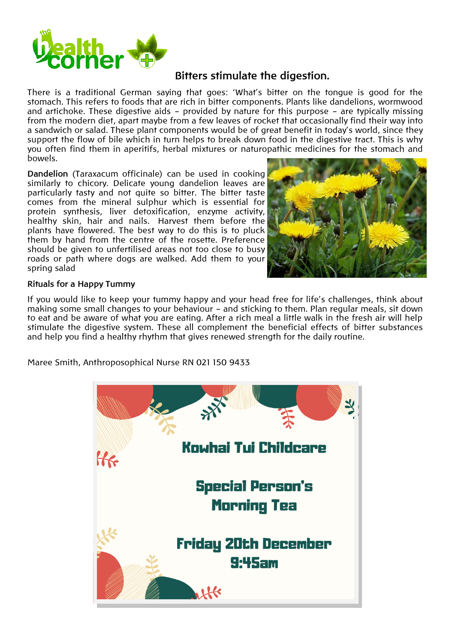

## **Bitters stimulate the digestion.**

There is a traditional German saying that goes: 'What's bitter on the tongue is good for the stomach. This refers to foods that are rich in bitter components. Plants like dandelions, wormwood and artichoke. These digestive aids – provided by nature for this purpose – are typically missing from the modern diet, apart maybe from a few leaves of rocket that occasionally find their way into a sandwich or salad. These plant components would be of great benefit in today's world, since they support the flow of bile which in turn helps to break down food in the digestive tract. This is why you often find them in aperitifs, herbal mixtures or naturopathic medicines for the stomach and bowels.

**Dandelion** (Taraxacum officinale) can be used in cooking similarly to chicory. Delicate young dandelion leaves are particularly tasty and not quite so bitter. The bitter taste comes from the mineral sulphur which is essential for protein synthesis, liver detoxification, enzyme activity, healthy skin, hair and nails. Harvest them before the plants have flowered. The best way to do this is to pluck them by hand from the centre of the rosette. Preference should be given to unfertilised areas not too close to busy roads or path where dogs are walked. Add them to your spring salad



### **Rituals for a Happy Tummy**

If you would like to keep your tummy happy and your head free for life's challenges, think about making some small changes to your behaviour – and sticking to them. Plan regular meals, sit down to eat and be aware of what you are eating. After a rich meal a little walk in the fresh air will help stimulate the digestive system. These all complement the beneficial effects of bitter substances and help you find a healthy rhythm that gives renewed strength for the daily routine.

Maree Smith, Anthroposophical Nurse RN 021 150 9433